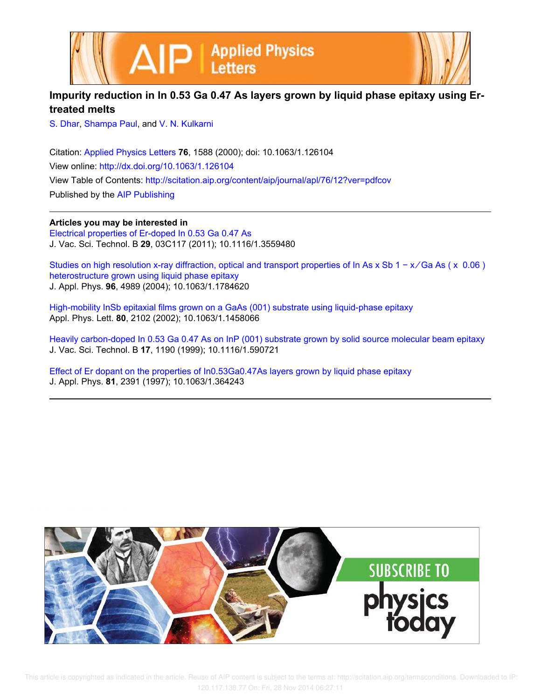

## **Impurity reduction in In 0.53 Ga 0.47 As layers grown by liquid phase epitaxy using Ertreated melts**

S. Dhar, Shampa Paul, and V. N. Kulkarni

Citation: Applied Physics Letters **76**, 1588 (2000); doi: 10.1063/1.126104 View online: http://dx.doi.org/10.1063/1.126104 View Table of Contents: http://scitation.aip.org/content/aip/journal/apl/76/12?ver=pdfcov Published by the AIP Publishing

**Articles you may be interested in**

Electrical properties of Er-doped In 0.53 Ga 0.47 As J. Vac. Sci. Technol. B **29**, 03C117 (2011); 10.1116/1.3559480

Studies on high resolution x-ray diffraction, optical and transport properties of In As x Sb 1 − x/Ga As ( x 0.06) heterostructure grown using liquid phase epitaxy J. Appl. Phys. **96**, 4989 (2004); 10.1063/1.1784620

High-mobility InSb epitaxial films grown on a GaAs (001) substrate using liquid-phase epitaxy Appl. Phys. Lett. **80**, 2102 (2002); 10.1063/1.1458066

Heavily carbon-doped In 0.53 Ga 0.47 As on InP (001) substrate grown by solid source molecular beam epitaxy J. Vac. Sci. Technol. B **17**, 1190 (1999); 10.1116/1.590721

Effect of Er dopant on the properties of In0.53Ga0.47As layers grown by liquid phase epitaxy J. Appl. Phys. **81**, 2391 (1997); 10.1063/1.364243

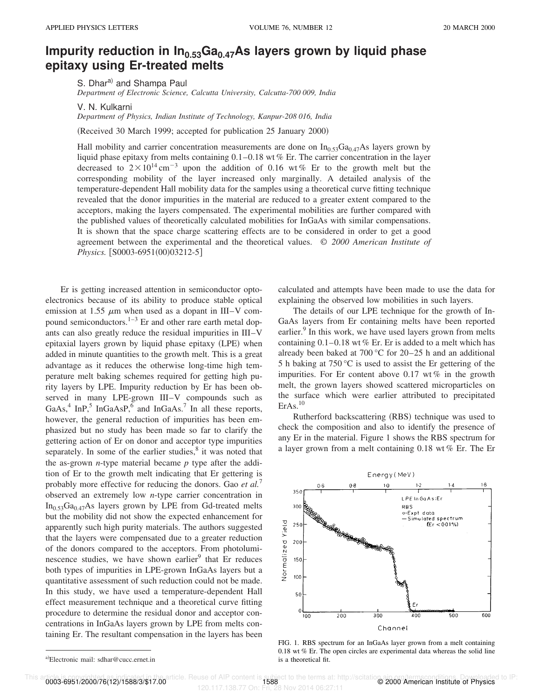## **Impurity reduction in In0.53Ga0.47As layers grown by liquid phase epitaxy using Er-treated melts**

S. Dhara) and Shampa Paul *Department of Electronic Science, Calcutta University, Calcutta-700 009, India*

V. N. Kulkarni

*Department of Physics, Indian Institute of Technology, Kanpur-208 016, India*

(Received 30 March 1999; accepted for publication 25 January 2000)

Hall mobility and carrier concentration measurements are done on  $In<sub>0.53</sub>Ga<sub>0.47</sub>As$  layers grown by liquid phase epitaxy from melts containing 0.1–0.18 wt % Er. The carrier concentration in the layer decreased to  $2 \times 10^{14}$  cm<sup>-3</sup> upon the addition of 0.16 wt% Er to the growth melt but the corresponding mobility of the layer increased only marginally. A detailed analysis of the temperature-dependent Hall mobility data for the samples using a theoretical curve fitting technique revealed that the donor impurities in the material are reduced to a greater extent compared to the acceptors, making the layers compensated. The experimental mobilities are further compared with the published values of theoretically calculated mobilities for InGaAs with similar compensations. It is shown that the space charge scattering effects are to be considered in order to get a good agreement between the experimental and the theoretical values. © *2000 American Institute of Physics.* [S0003-6951(00)03212-5]

Er is getting increased attention in semiconductor optoelectronics because of its ability to produce stable optical emission at 1.55  $\mu$ m when used as a dopant in III–V compound semiconductors. $1-3$  Er and other rare earth metal dopants can also greatly reduce the residual impurities in III–V epitaxial layers grown by liquid phase epitaxy (LPE) when added in minute quantities to the growth melt. This is a great advantage as it reduces the otherwise long-time high temperature melt baking schemes required for getting high purity layers by LPE. Impurity reduction by Er has been observed in many LPE-grown III–V compounds such as GaAs,<sup>4</sup> InP,<sup>5</sup> InGaAsP,<sup>6</sup> and InGaAs.<sup>7</sup> In all these reports, however, the general reduction of impurities has been emphasized but no study has been made so far to clarify the gettering action of Er on donor and acceptor type impurities separately. In some of the earlier studies, $<sup>8</sup>$  it was noted that</sup> the as-grown *n*-type material became *p* type after the addition of Er to the growth melt indicating that Er gettering is probably more effective for reducing the donors. Gao *et al.*<sup>7</sup> observed an extremely low *n*-type carrier concentration in  $In_{0.53}Ga_{0.47}As$  layers grown by LPE from Gd-treated melts but the mobility did not show the expected enhancement for apparently such high purity materials. The authors suggested that the layers were compensated due to a greater reduction of the donors compared to the acceptors. From photoluminescence studies, we have shown earlier<sup>9</sup> that Er reduces both types of impurities in LPE-grown InGaAs layers but a quantitative assessment of such reduction could not be made. In this study, we have used a temperature-dependent Hall effect measurement technique and a theoretical curve fitting procedure to determine the residual donor and acceptor concentrations in InGaAs layers grown by LPE from melts containing Er. The resultant compensation in the layers has been calculated and attempts have been made to use the data for explaining the observed low mobilities in such layers.

The details of our LPE technique for the growth of In-GaAs layers from Er containing melts have been reported earlier.<sup>9</sup> In this work, we have used layers grown from melts containing  $0.1-0.18$  wt % Er. Er is added to a melt which has already been baked at 700 °C for 20–25 h and an additional 5 h baking at 750 °C is used to assist the Er gettering of the impurities. For Er content above  $0.17 \text{ wt } \%$  in the growth melt, the grown layers showed scattered microparticles on the surface which were earlier attributed to precipitated  $ErAs.<sup>10</sup>$ 

Rutherford backscattering (RBS) technique was used to check the composition and also to identify the presence of any Er in the material. Figure 1 shows the RBS spectrum for a layer grown from a melt containing 0.18 wt % Er. The Er



FIG. 1. RBS spectrum for an InGaAs layer grown from a melt containing 0.18 wt % Er. The open circles are experimental data whereas the solid line is a theoretical fit.

rticle. The terms at: http://scitation.com/itting.com/itting.com/itting.com/itting.com/itting.com/itting.com/i<br>120.117.138.77 On: Fri, 28 Nov 2014 06:27:11 120.117.138.77 On: Fri

a)Electronic mail: sdhar@cucc.ernet.in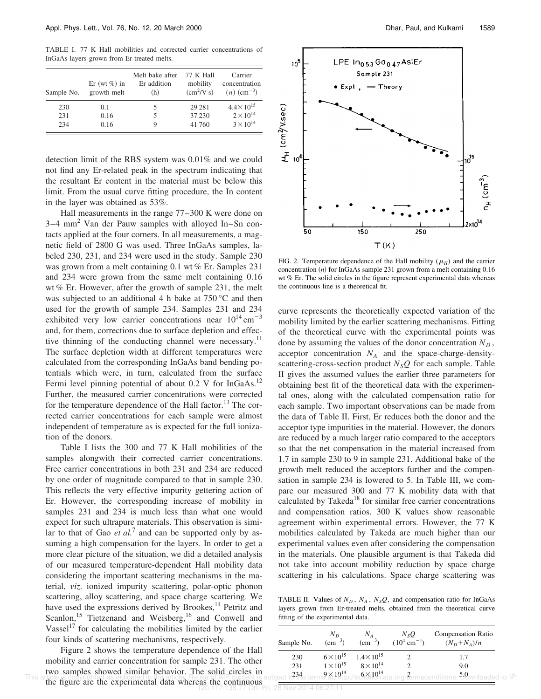TABLE I. 77 K Hall mobilities and corrected carrier concentrations of InGaAs layers grown from Er-treated melts.

| Sample No. | Er (wt $\%$ ) in<br>growth melt | Melt bake after<br>Er addition<br>(h) | <b>77 K Hall</b><br>mobility<br>$\text{(cm}^2/\text{V s})$ | Carrier<br>concentration<br>$(n)$ (cm <sup>-3</sup> ) |
|------------|---------------------------------|---------------------------------------|------------------------------------------------------------|-------------------------------------------------------|
| 230        | 0.1                             | 5                                     | 29 28 1                                                    | $4.4 \times 10^{15}$                                  |
| 231        | 0.16                            |                                       | 37 230                                                     | $2 \times 10^{14}$                                    |
| 234        | 0.16                            |                                       | 41 760                                                     | $3 \times 10^{14}$                                    |

detection limit of the RBS system was 0.01% and we could not find any Er-related peak in the spectrum indicating that the resultant Er content in the material must be below this limit. From the usual curve fitting procedure, the In content in the layer was obtained as 53%.

Hall measurements in the range 77–300 K were done on 3–4 mm<sup>2</sup> Van der Pauw samples with alloyed In–Sn contacts applied at the four corners. In all measurements, a magnetic field of 2800 G was used. Three InGaAs samples, labeled 230, 231, and 234 were used in the study. Sample 230 was grown from a melt containing 0.1 wt % Er. Samples 231 and 234 were grown from the same melt containing 0.16 wt % Er. However, after the growth of sample 231, the melt was subjected to an additional 4 h bake at 750 °C and then used for the growth of sample 234. Samples 231 and 234 exhibited very low carrier concentrations near  $10^{14}$  cm<sup>-3</sup> and, for them, corrections due to surface depletion and effective thinning of the conducting channel were necessary.<sup>11</sup> The surface depletion width at different temperatures were calculated from the corresponding InGaAs band bending potentials which were, in turn, calculated from the surface Fermi level pinning potential of about  $0.2$  V for InGaAs.<sup>12</sup> Further, the measured carrier concentrations were corrected for the temperature dependence of the Hall factor.<sup>13</sup> The corrected carrier concentrations for each sample were almost independent of temperature as is expected for the full ionization of the donors.

Table I lists the 300 and 77 K Hall mobilities of the samples alongwith their corrected carrier concentrations. Free carrier concentrations in both 231 and 234 are reduced by one order of magnitude compared to that in sample 230. This reflects the very effective impurity gettering action of Er. However, the corresponding increase of mobility in samples 231 and 234 is much less than what one would expect for such ultrapure materials. This observation is similar to that of Gao *et al.*<sup>7</sup> and can be supported only by assuming a high compensation for the layers. In order to get a more clear picture of the situation, we did a detailed analysis of our measured temperature-dependent Hall mobility data considering the important scattering mechanisms in the material, *viz*. ionized impurity scattering, polar-optic phonon scattering, alloy scattering, and space charge scattering. We have used the expressions derived by Brookes,<sup>14</sup> Petritz and Scanlon,<sup>15</sup> Tietzenand and Weisberg,<sup>16</sup> and Conwell and Vassel<sup>17</sup> for calculating the mobilities limited by the earlier four kinds of scattering mechanisms, respectively.

Figure 2 shows the temperature dependence of the Hall mobility and carrier concentration for sample 231. The other two samples showed similar behavior. The solid circles in This article is copyrighted as indicated in the article. Reuse of AIP content is subject to the terms at Pitip://schattVh.aip.org/fermsconditions. Dewnloaded to IP:<br>the figure are the experimental data whereas the continuo 120.117.138.77 On: Fri, 28 Nov 2014 06:27:11



FIG. 2. Temperature dependence of the Hall mobility  $(\mu_H)$  and the carrier concentration  $(n)$  for InGaAs sample 231 grown from a melt containing  $0.16$ wt % Er. The solid circles in the figure represent experimental data whereas the continuous line is a theoretical fit.

curve represents the theoretically expected variation of the mobility limited by the earlier scattering mechanisms. Fitting of the theoretical curve with the experimental points was done by assuming the values of the donor concentration  $N_D$ , acceptor concentration  $N_A$  and the space-charge-densityscattering-cross-section product  $N_SQ$  for each sample. Table II gives the assumed values the earlier three parameters for obtaining best fit of the theoretical data with the experimental ones, along with the calculated compensation ratio for each sample. Two important observations can be made from the data of Table II. First, Er reduces both the donor and the acceptor type impurities in the material. However, the donors are reduced by a much larger ratio compared to the acceptors so that the net compensation in the material increased from 1.7 in sample 230 to 9 in sample 231. Additional bake of the growth melt reduced the acceptors further and the compensation in sample 234 is lowered to 5. In Table III, we compare our measured 300 and 77 K mobility data with that calculated by Takeda<sup>18</sup> for similar free carrier concentrations and compensation ratios. 300 K values show reasonable agreement within experimental errors. However, the 77 K mobilities calculated by Takeda are much higher than our experimental values even after considering the compensation in the materials. One plausible argument is that Takeda did not take into account mobility reduction by space charge scattering in his calculations. Space charge scattering was

TABLE II. Values of  $N_D$ ,  $N_A$ ,  $N_SQ$ , and compensation ratio for InGaAs layers grown from Er-treated melts, obtained from the theoretical curve fitting of the experimental data.

| Sample No. | $N_{D}$<br>$\rm (cm^{-3})$ | $N_A$<br>$\rm (cm^{-3})$ | $N_{\rm s}Q$<br>$(10^4 \text{ cm}^{-1})$ | Compensation Ratio<br>$(N_D + N_A)/n$                                                                        |
|------------|----------------------------|--------------------------|------------------------------------------|--------------------------------------------------------------------------------------------------------------|
| 230        | $6 \times 10^{15}$         | $1.4 \times 10^{15}$     |                                          | 1.7                                                                                                          |
| 231        | $1 \times 10^{15}$         | $8 \times 10^{14}$       |                                          | 9.0                                                                                                          |
|            |                            |                          |                                          | lect t $234$ e term $9 \times 10^{14}$ rb://sc $6 \times 10^{14}$ .aip.org/?ermsconditions. $59$ wnloaded to |